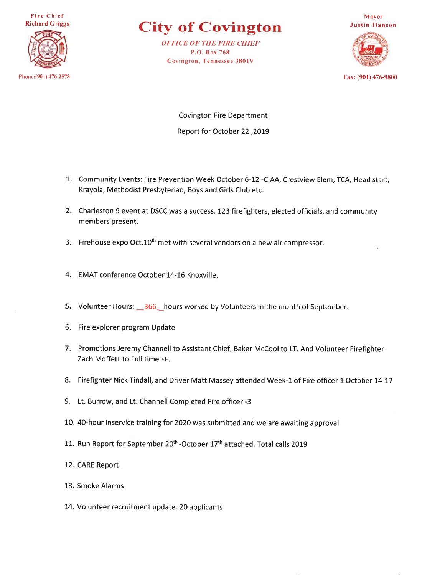**Fire Chief Richard Griggs** 



## **City of Covington**

**OFFICE OF THE FIRE CHIEF** P.O. Box 768 **Covington, Tennessee 38019** 



Fax: (901) 476-9800

**Covington Fire Department Report for October 22, 2019** 

- 1. Community Events: Fire Prevention Week October 6-12 -CIAA, Crestview Elem, TCA, Head start, Krayola, Methodist Presbyterian, Boys and Girls Club etc.
- 2. Charleston 9 event at DSCC was a success. 123 firefighters, elected officials, and community members present.
- 3. Firehouse expo Oct.10<sup>th</sup> met with several vendors on a new air compressor.
- 4. EMAT conference October 14-16 Knoxville.
- 5. Volunteer Hours: 366 hours worked by Volunteers in the month of September.
- 6. Fire explorer program Update
- 7. Promotions Jeremy Channell to Assistant Chief, Baker McCool to LT. And Volunteer Firefighter Zach Moffett to Full time FF.
- 8. Firefighter Nick Tindall, and Driver Matt Massey attended Week-1 of Fire officer 1 October 14-17
- 9. Lt. Burrow, and Lt. Channell Completed Fire officer -3
- 10. 40-hour Inservice training for 2020 was submitted and we are awaiting approval
- 11. Run Report for September 20<sup>th</sup> -October 17<sup>th</sup> attached. Total calls 2019
- 12. CARE Report.
- 13. Smoke Alarms
- 14. Volunteer recruitment update. 20 applicants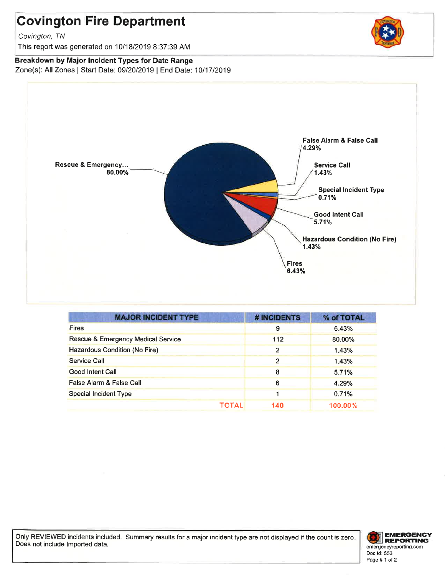# **Covington Fire Department**

Covington, TN

This report was generated on 10/18/2019 8:37:39 AM

## Breakdown by Major Incident Types for Date Range

Zone(s): All Zones | Start Date: 09/20/2019 | End Date: 10/17/2019



| <b>MAJOR INCIDENT TYPE</b>                    | <b># INCIDENTS</b> | % of TOTAL |
|-----------------------------------------------|--------------------|------------|
| <b>Fires</b>                                  | 9                  | 6.43%      |
| <b>Rescue &amp; Emergency Medical Service</b> | 112                | 80,00%     |
| Hazardous Condition (No Fire)                 | 2                  | 1.43%      |
| Service Call                                  | 2                  | 1.43%      |
| Good Intent Call                              | 8                  | 5.71%      |
| False Alarm & False Call                      | 6                  | 4.29%      |
| <b>Special Incident Type</b>                  |                    | 0.71%      |
| ΤΟΤΑΙ                                         | 140                | $100.00\%$ |

Only REVIEWED incidents included. Summary results for a major incident type are not displayed if the count is zero. Does not include Imported data.



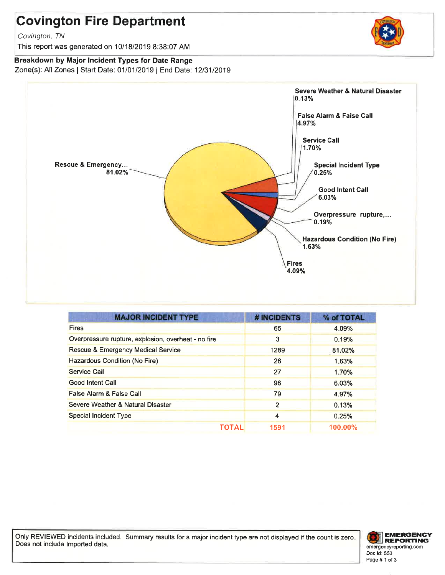# **Covington Fire Department**

Covington, TN

This report was generated on 10/18/2019 8:38:07 AM

## Breakdown by Major Incident Types for Date Range

Zone(s): All Zones | Start Date: 01/01/2019 | End Date: 12/31/2019



| <b>MAJOR INCIDENT TYPE</b>                          | # INCIDENTS    | % of TOTAL |
|-----------------------------------------------------|----------------|------------|
| <b>Fires</b>                                        | 65             | 4.09%      |
| Overpressure rupture, explosion, overheat - no fire | 3              | 0.19%      |
| <b>Rescue &amp; Emergency Medical Service</b>       | 1289           | 81.02%     |
| Hazardous Condition (No Fire)                       | 26             | 1.63%      |
| Service Call                                        | 27             | 1.70%      |
| Good Intent Call                                    | 96             | 6.03%      |
| False Alarm & False Call                            | 79             | 4.97%      |
| Severe Weather & Natural Disaster                   | $\overline{2}$ | 0.13%      |
| <b>Special Incident Type</b>                        | 4              | 0.25%      |
| TOTAL                                               | 1591           | $100.00\%$ |

Only REVIEWED incidents included. Summary results for a major incident type are not displayed if the count is zero. Does not include Imported data.



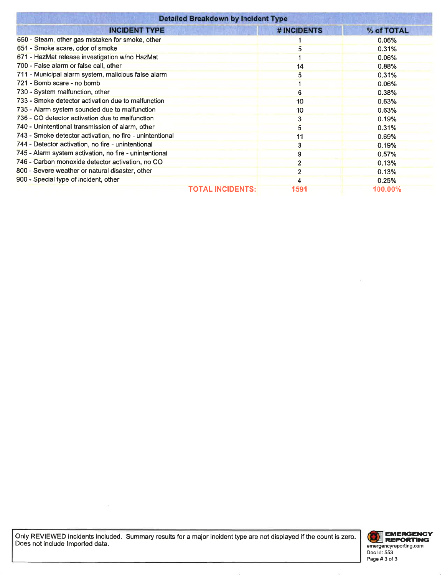| <b>Detailed Breakdown by Incident Type</b>               |                                 |            |  |  |  |  |  |
|----------------------------------------------------------|---------------------------------|------------|--|--|--|--|--|
| <b>INCIDENT TYPE</b>                                     | # INCIDENTS                     | % of TOTAL |  |  |  |  |  |
| 650 - Steam, other gas mistaken for smoke, other         |                                 | 0.06%      |  |  |  |  |  |
| 651 - Smoke scare, odor of smoke                         | 5                               | 0.31%      |  |  |  |  |  |
| 671 - HazMat release investigation w/no HazMat           |                                 | 0.06%      |  |  |  |  |  |
| 700 - False alarm or false call, other                   | 14                              | 0.88%      |  |  |  |  |  |
| 711 - Municipal alarm system, malicious false alarm      | 5                               | 0.31%      |  |  |  |  |  |
| 721 - Bomb scare - no bomb                               |                                 | 0.06%      |  |  |  |  |  |
| 730 - System malfunction, other                          | o                               | 0.38%      |  |  |  |  |  |
| 733 - Smoke detector activation due to malfunction       | 10                              | 0.63%      |  |  |  |  |  |
| 735 - Alarm system sounded due to malfunction            | 10                              | 0.63%      |  |  |  |  |  |
| 736 - CO detector activation due to malfunction          | 3                               | 0.19%      |  |  |  |  |  |
| 740 - Unintentional transmission of alarm, other         | 5                               | 0.31%      |  |  |  |  |  |
| 743 - Smoke detector activation, no fire - unintentional | 11                              | 0.69%      |  |  |  |  |  |
| 744 - Detector activation, no fire - unintentional       | 3                               | 0.19%      |  |  |  |  |  |
| 745 - Alarm system activation, no fire - unintentional   | 9                               | 0.57%      |  |  |  |  |  |
| 746 - Carbon monoxide detector activation, no CO         | $\overline{2}$                  | 0.13%      |  |  |  |  |  |
| 800 - Severe weather or natural disaster, other          | $\overline{2}$                  | 0.13%      |  |  |  |  |  |
| 900 - Special type of incident, other                    |                                 | 0.25%      |  |  |  |  |  |
|                                                          | <b>TOTAL INCIDENTS:</b><br>1591 | 100.00%    |  |  |  |  |  |

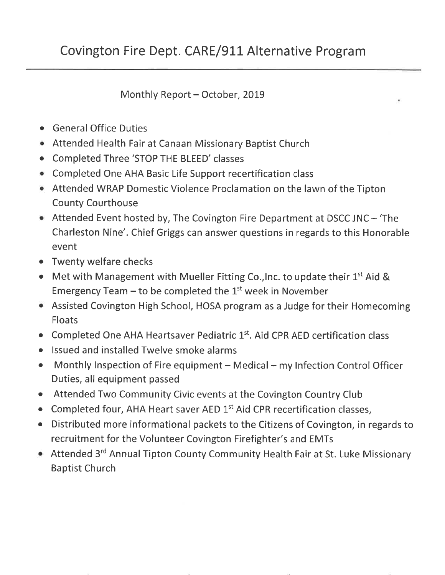Monthly Report - October, 2019

- General Office Duties
- Attended Health Fair at Canaan Missionary Baptist Church
- Completed Three 'STOP THE BLEED' classes
- Completed One AHA Basic Life Support recertification class
- Attended WRAP Domestic Violence Proclamation on the lawn of the Tipton **County Courthouse**
- Attended Event hosted by, The Covington Fire Department at DSCC JNC 'The Charleston Nine'. Chief Griggs can answer questions in regards to this Honorable event
- Twenty welfare checks  $\bullet$
- Met with Management with Mueller Fitting Co., Inc. to update their  $1^{st}$  Aid & Emergency Team – to be completed the  $1<sup>st</sup>$  week in November
- Assisted Covington High School, HOSA program as a Judge for their Homecoming **Floats**
- Completed One AHA Heartsaver Pediatric 1st. Aid CPR AED certification class
- Issued and installed Twelve smoke alarms  $\bullet$
- Monthly Inspection of Fire equipment Medical my Infection Control Officer  $\bullet$ Duties, all equipment passed
- Attended Two Community Civic events at the Covington Country Club  $\bullet$
- Completed four, AHA Heart saver AED 1st Aid CPR recertification classes,
- Distributed more informational packets to the Citizens of Covington, in regards to  $\bullet$ recruitment for the Volunteer Covington Firefighter's and EMTs
- Attended 3rd Annual Tipton County Community Health Fair at St. Luke Missionary **Baptist Church**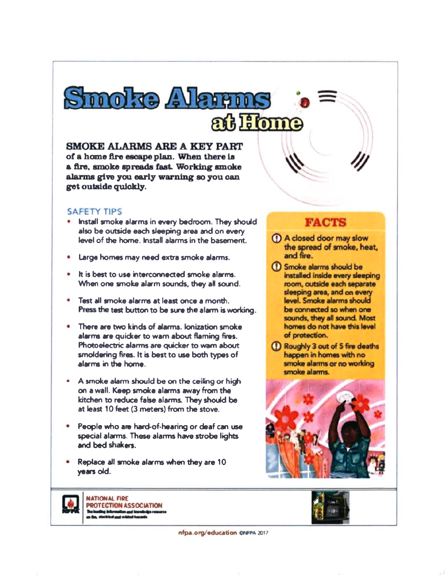**SMOKE ALARMS ARE A KEY PART** of a home fire escape plan. When there is a fire, smoke spreads fast. Working smoke alarms give you early warning so you can get outside quickly.

Smoke Alaren

### **SAFETY TIPS**

- . Install smoke alarms in every bedroom. They should also be outside each sleeping area and on every level of the home. Install alarms in the basement.
- Large homes may need extra smoke alarms.
- . It is best to use interconnected smoke alarms. When one smoke alarm sounds, they all sound.
- . Test all smoke alarms at least once a month. Press the test button to be sure the alarm is working.
- There are two kinds of alarms, lonization smoke alarms are quicker to warn about flaming fires. Photoelectric alarms are quicker to warn about smoldering fires. It is best to use both types of alarms in the home.
- A smoke alarm should be on the ceiling or high on a wall. Keep smoke alarms away from the kitchen to reduce false alarms. They should be at least 10 feet (3 meters) from the stove.
- People who are hard-of-hearing or deaf can use special alarms. These alarms have strobe lights and bed shakers.
- Replace all smoke alarms when they are 10 years old.

**NATIONAL FIRE PROTECTION ASSOCIATION** 

## **FACTS**

at Fome

- (1) A closed door may slow the spread of smoke, heat, and fire.
- (1) Smoke alarms should be installed inside every sleeping room, outside each separate sleeping area, and on every level. Smoke alarms should be connected so when one sounds, they all sound. Most homes do not have this level of protection.

(!) Roughly 3 out of 5 fire deaths happen in homes with no smoke alarms or no working smoke alarms.





nfpa.org/education CNFPA 2017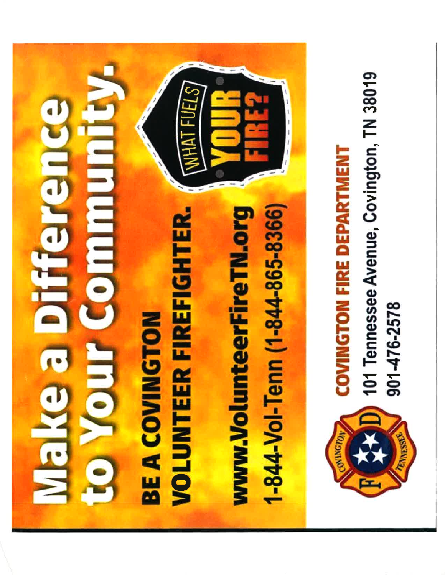

**VOLUNTEER FIREFIGHTER. BE A COVINGTON** 

**BALLAH** 

1-844-Vol-Tenn (1-844-865-8366) www.VolunteerFireTN.org



901-476-2578

# **COVINGTON FIRE DEPARTMENT**

**(2)** 101 Tennessee Avenue, Covington, TN 38019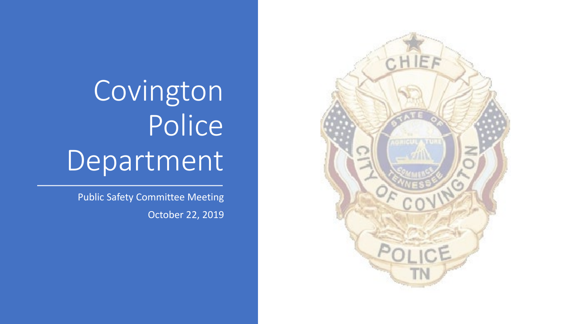

Public Safety Committee Meeting October 22, 2019

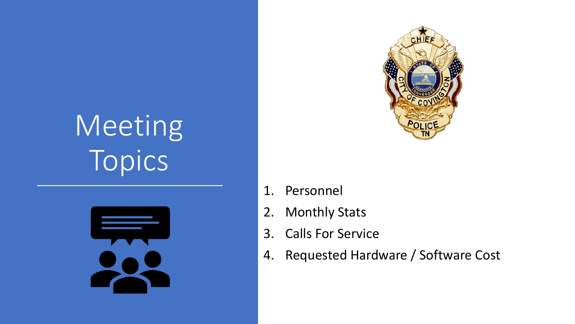# Meeting Topics





- 1. Personnel
- 2. Monthly Stats
- 3. Calls For Service
- 4. Requested Hardware / Software Cost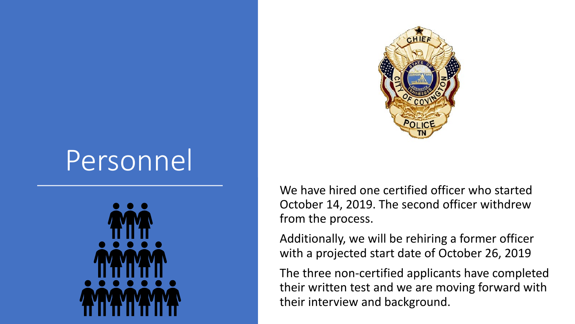

# Personnel



We have hired one certified officer who started October 14, 2019. The second officer withdrew from the process.

Additionally, we will be rehiring a former officer with a projected start date of October 26, 2019

The three non-certified applicants have completed their written test and we are moving forward with their interview and background.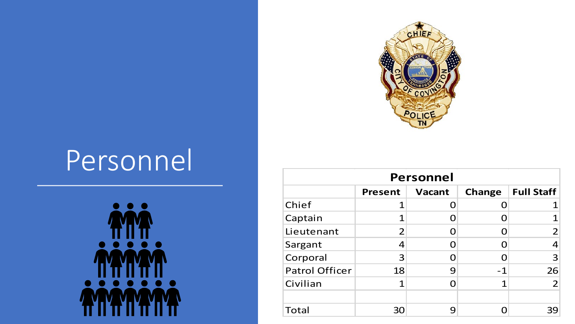

# Personnel



| <b>Personnel</b>      |                |               |                   |                |  |  |  |  |  |
|-----------------------|----------------|---------------|-------------------|----------------|--|--|--|--|--|
|                       | <b>Present</b> | <b>Change</b> | <b>Full Staff</b> |                |  |  |  |  |  |
| Chief                 |                |               |                   |                |  |  |  |  |  |
| Captain               |                |               |                   |                |  |  |  |  |  |
| Lieutenant            | 2              |               |                   | $\overline{2}$ |  |  |  |  |  |
| Sargant               | 4              |               |                   | 4              |  |  |  |  |  |
| Corporal              | 3              |               |                   | 3              |  |  |  |  |  |
| <b>Patrol Officer</b> | 18             | 9             | $-1$              | 26             |  |  |  |  |  |
| Civilian              | 1              |               | 1                 | $\overline{2}$ |  |  |  |  |  |
|                       |                |               |                   |                |  |  |  |  |  |
| Total                 | 30             | 9             |                   | 39             |  |  |  |  |  |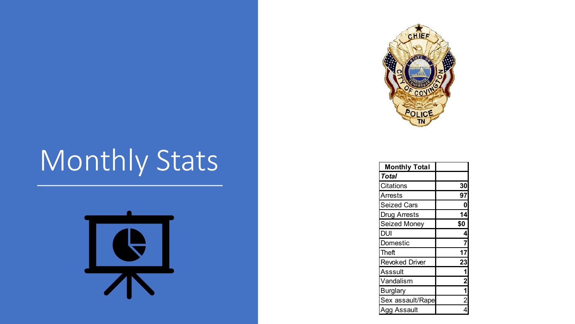# Monthly Stats





| <b>Monthly Total</b>  |                         |
|-----------------------|-------------------------|
| <b>Total</b>          |                         |
| Citations             | 30                      |
| Arrests               | 97                      |
| <b>Seized Cars</b>    | 0                       |
| <b>Drug Arrests</b>   | 14                      |
| Seized Money          | \$0                     |
| DUI                   | 4                       |
| Domestic              | 7                       |
| Theft                 | 17                      |
| <b>Revoked Driver</b> | 23                      |
| Asssult               | 1                       |
| Vandalism             | $\overline{\mathbf{c}}$ |
| <b>Burglary</b>       | $\overline{\mathbf{1}}$ |
| Sex assault/Rape      | $\overline{2}$          |
| <b>Agg Assault</b>    |                         |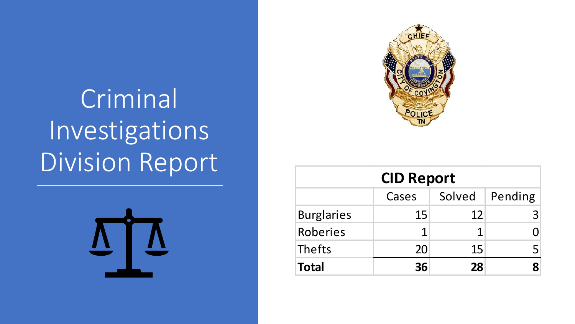Criminal Investigations Division Report





| <b>CID Report</b>           |    |    |  |  |  |  |  |  |
|-----------------------------|----|----|--|--|--|--|--|--|
| Solved   Pending  <br>Cases |    |    |  |  |  |  |  |  |
| <b>Burglaries</b>           | 15 | 12 |  |  |  |  |  |  |
| Roberies                    |    |    |  |  |  |  |  |  |
| Thefts                      | 20 | 15 |  |  |  |  |  |  |
| <b>Total</b>                | 36 | 28 |  |  |  |  |  |  |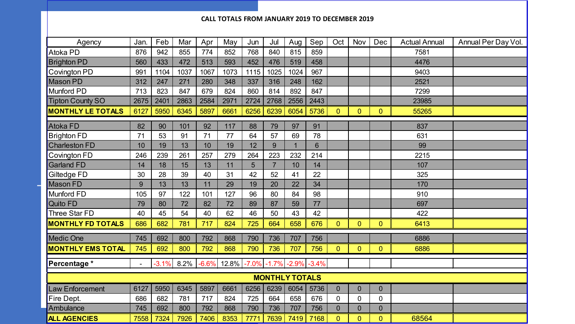## **CALL TOTALS FROM JANUARY 2019 TO DECEMBER 2019**

| Agency                   | Jan. | Feb     | Mar  | Apr     | May   | Jun     | Jul            | Aug  | Sep             | Oct            | Nov            | Dec            | <b>Actual Annual</b> | Annual Per Day Vol. |
|--------------------------|------|---------|------|---------|-------|---------|----------------|------|-----------------|----------------|----------------|----------------|----------------------|---------------------|
| Atoka PD                 | 876  | 942     | 855  | 774     | 852   | 768     | 840            | 815  | 859             |                |                |                | 7581                 |                     |
| <b>Brighton PD</b>       | 560  | 433     | 472  | 513     | 593   | 452     | 476            | 519  | 458             |                |                |                | 4476                 |                     |
| Covington PD             | 991  | 1104    | 1037 | 1067    | 1073  | 1115    | 1025           | 1024 | 967             |                |                |                | 9403                 |                     |
| Mason PD                 | 312  | 247     | 271  | 280     | 348   | 337     | 316            | 248  | 162             |                |                |                | 2521                 |                     |
| Munford PD               | 713  | 823     | 847  | 679     | 824   | 860     | 814            | 892  | 847             |                |                |                | 7299                 |                     |
| <b>Tipton County SO</b>  | 2675 | 2401    | 2863 | 2584    | 2971  | 2724    | 2768           | 2556 | 2443            |                |                |                | 23985                |                     |
| <b>MONTHLY LE TOTALS</b> | 6127 | 5950    | 6345 | 5897    | 6661  | 6256    | 6239           | 6054 | 5736            | $\mathbf{0}$   | $\mathbf{0}$   | $\overline{0}$ | 55265                |                     |
| Atoka FD                 | 82   | 90      | 101  | 92      | 117   | 88      | 79             | 97   | 91              |                |                |                | 837                  |                     |
| <b>Brighton FD</b>       | 71   | 53      | 91   | 71      | 77    | 64      | 57             | 69   | 78              |                |                |                | 631                  |                     |
| <b>Charleston FD</b>     | 10   | 19      | 13   | 10      | 19    | 12      | 9              |      | $6\overline{6}$ |                |                |                | 99                   |                     |
| Covington FD             | 246  | 239     | 261  | 257     | 279   | 264     | 223            | 232  | 214             |                |                |                | 2215                 |                     |
| <b>Garland FD</b>        | 14   | 18      | 15   | 13      | 11    | 5       | $\overline{7}$ | 10   | 14              |                |                |                | 107                  |                     |
| Giltedge FD              | 30   | 28      | 39   | 40      | 31    | 42      | 52             | 41   | 22              |                |                |                | 325                  |                     |
| <b>Mason FD</b>          | 9    | 13      | 13   | 11      | 29    | 19      | 20             | 22   | 34              |                |                |                | 170                  |                     |
| <b>Munford FD</b>        | 105  | 97      | 122  | 101     | 127   | 96      | 80             | 84   | 98              |                |                |                | 910                  |                     |
| Quito FD                 | 79   | 80      | 72   | 82      | 72    | 89      | 87             | 59   | 77              |                |                |                | 697                  |                     |
| Three Star FD            | 40   | 45      | 54   | 40      | 62    | 46      | 50             | 43   | 42              |                |                |                | 422                  |                     |
| <b>MONTHLY FD TOTALS</b> | 686  | 682     | 781  | 717     | 824   | 725     | 664            | 658  | 676             | $\overline{0}$ | $\overline{0}$ | $\overline{0}$ | 6413                 |                     |
| <b>Medic One</b>         | 745  | 692     | 800  | 792     | 868   | 790     | 736            | 707  | 756             |                |                |                | 6886                 |                     |
| <b>MONTHLY EMS TOTAL</b> | 745  | 692     | 800  | 792     | 868   | 790     | 736            | 707  | 756             | $\Omega$       | $\overline{0}$ | 0              | 6886                 |                     |
| Percentage *             |      | $-3.1%$ | 8.2% | $-6.6%$ | 12.8% | $-7.0%$ | $-1.7%$        |      | $-2.9\% -3.4\%$ |                |                |                |                      |                     |
| <b>MONTHLY TOTALS</b>    |      |         |      |         |       |         |                |      |                 |                |                |                |                      |                     |
| Law Enforcement          | 6127 | 5950    | 6345 | 5897    | 6661  | 6256    | 6239           | 6054 | 5736            | $\overline{0}$ | $\overline{0}$ | $\overline{0}$ |                      |                     |
| Fire Dept.               | 686  | 682     | 781  | 717     | 824   | 725     | 664            | 658  | 676             | 0              | $\mathbf 0$    | 0              |                      |                     |
| Ambulance                | 745  | 692     | 800  | 792     | 868   | 790     | 736            | 707  | 756             | $\overline{0}$ | $\overline{0}$ | $\overline{0}$ |                      |                     |
| <b>ALL AGENCIES</b>      | 7558 | 7324    | 7926 | 7406    | 8353  | 7771    | 7639           | 7419 | 7168            | $\overline{0}$ | $\overline{0}$ | 0              | 68564                |                     |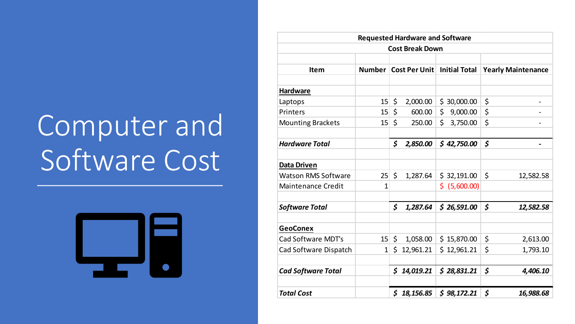# Computer and Software Cost



| <b>Requested Hardware and Software</b> |                 |              |                                        |     |             |                           |           |  |  |  |
|----------------------------------------|-----------------|--------------|----------------------------------------|-----|-------------|---------------------------|-----------|--|--|--|
| <b>Cost Break Down</b>                 |                 |              |                                        |     |             |                           |           |  |  |  |
|                                        |                 |              |                                        |     |             |                           |           |  |  |  |
| <b>Item</b>                            |                 |              | Number   Cost Per Unit   Initial Total |     |             | <b>Yearly Maintenance</b> |           |  |  |  |
|                                        |                 |              |                                        |     |             |                           |           |  |  |  |
| <b>Hardware</b>                        |                 |              |                                        |     |             |                           |           |  |  |  |
| Laptops                                | 15              | \$           | 2,000.00                               |     | \$30,000.00 | \$                        |           |  |  |  |
| Printers                               | 15              | \$           | 600.00                                 | \$  | 9,000.00    | \$                        |           |  |  |  |
| <b>Mounting Brackets</b>               | 15 <sup>2</sup> | $\zeta$      | 250.00                                 | Ś.  | 3,750.00    | \$                        |           |  |  |  |
| <b>Hardware Total</b>                  |                 | \$           | 2,850.00                               |     | \$42,750.00 | \$                        |           |  |  |  |
| <b>Data Driven</b>                     |                 |              |                                        |     |             |                           |           |  |  |  |
| <b>Watson RMS Software</b>             | 25              | \$           | 1,287.64                               |     | \$32,191.00 | \$                        | 12,582.58 |  |  |  |
| <b>Maintenance Credit</b>              | 1               |              |                                        | \$. | (5,600.00)  |                           |           |  |  |  |
| <b>Software Total</b>                  |                 | \$           | 1,287.64                               |     | \$26,591.00 | \$                        | 12,582.58 |  |  |  |
| <b>GeoConex</b>                        |                 |              |                                        |     |             |                           |           |  |  |  |
| Cad Software MDT's                     | 15 <sup>1</sup> | \$           | 1,058.00                               |     | \$15,870.00 | \$                        | 2,613.00  |  |  |  |
| Cad Software Dispatch                  | $\mathbf{1}$    | $\mathsf{S}$ | 12,961.21                              |     | \$12,961.21 | \$                        | 1,793.10  |  |  |  |
| <b>Cad Software Total</b>              |                 | \$           | 14,019.21                              |     | \$28,831.21 | \$                        | 4,406.10  |  |  |  |
| <b>Total Cost</b>                      |                 |              | \$18,156.85                            |     | \$98,172.21 | \$                        | 16,988.68 |  |  |  |